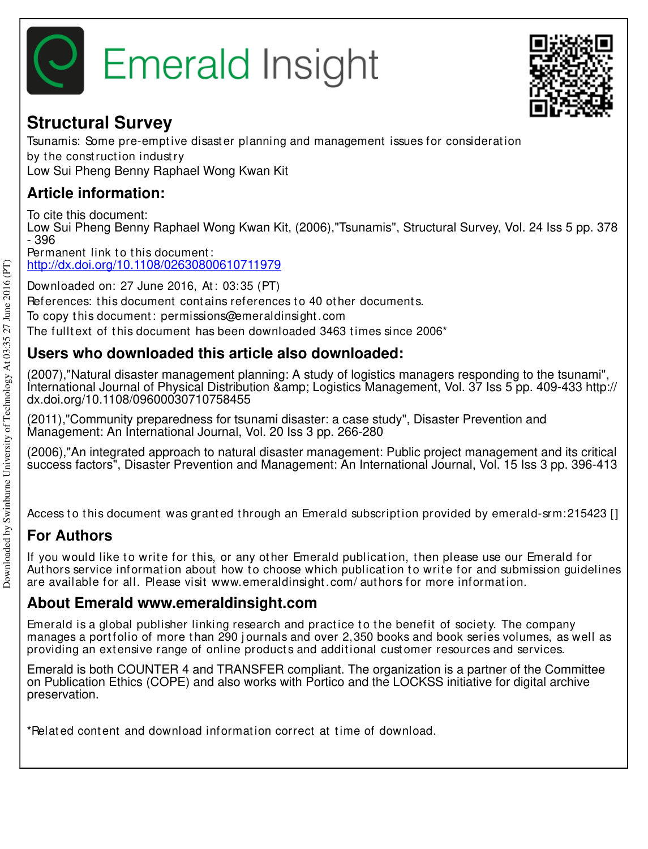



# **Structural Survey**

Tsunamis: Some pre-empt ive disast er planning and management issues for considerat ion by t he const ruct ion indust ry Low Sui Pheng Benny Raphael Wong Kwan Kit

# **Article information:**

To cite this document:

Low Sui Pheng Benny Raphael Wong Kwan Kit, (2006),"Tsunamis", Structural Survey, Vol. 24 Iss 5 pp. 378 - 396

Permanent link to this document: http://dx.doi.org/10.1108/02630800610711979

Downloaded on: 27 June 2016, At : 03:35 (PT)

References: this document contains references to 40 other documents.

To copy t his document : permissions@emeraldinsight .com

The fulltext of this document has been downloaded 3463 times since 2006\*

# **Users who downloaded this article also downloaded:**

(2007),"Natural disaster management planning: A study of logistics managers responding to the tsunami", International Journal of Physical Distribution & amp; Logistics Management, Vol. 37 Iss 5 pp. 409-433 http:// dx.doi.org/10.1108/09600030710758455

(2011),"Community preparedness for tsunami disaster: a case study", Disaster Prevention and Management: An International Journal, Vol. 20 Iss 3 pp. 266-280

(2006),"An integrated approach to natural disaster management: Public project management and its critical success factors", Disaster Prevention and Management: An International Journal, Vol. 15 Iss 3 pp. 396-413

Access to this document was granted through an Emerald subscription provided by emerald-srm:215423 []

# **For Authors**

If you would like to write for this, or any other Emerald publication, then please use our Emerald for Authors service information about how to choose which publication to write for and submission guidelines are available for all. Please visit www.emeraldinsight .com/ aut hors for more informat ion.

# **About Emerald www.emeraldinsight.com**

Emerald is a global publisher linking research and practice to the benefit of society. The company manages a portfolio of more than 290 journals and over 2,350 books and book series volumes, as well as providing an extensive range of online products and additional customer resources and services.

Emerald is both COUNTER 4 and TRANSFER compliant. The organization is a partner of the Committee on Publication Ethics (COPE) and also works with Portico and the LOCKSS initiative for digital archive preservation.

\*Relat ed cont ent and download informat ion correct at t ime of download.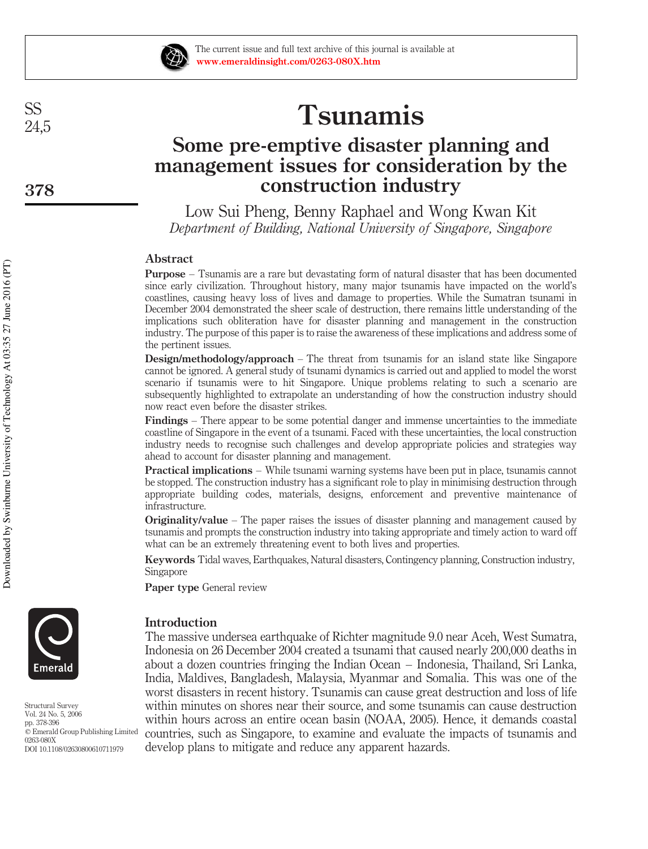

The current issue and full text archive of this journal is available at www.emeraldinsight.com/0263-080X.htm

# Tsunamis

# Some pre-emptive disaster planning and management issues for consideration by the construction industry

Low Sui Pheng, Benny Raphael and Wong Kwan Kit *Department of Building, National University of Singapore, Singapore*

## Abstract

Purpose – Tsunamis are a rare but devastating form of natural disaster that has been documented since early civilization. Throughout history, many major tsunamis have impacted on the world's coastlines, causing heavy loss of lives and damage to properties. While the Sumatran tsunami in December 2004 demonstrated the sheer scale of destruction, there remains little understanding of the implications such obliteration have for disaster planning and management in the construction industry. The purpose of this paper is to raise the awareness of these implications and address some of the pertinent issues.

Design/methodology/approach – The threat from tsunamis for an island state like Singapore cannot be ignored. A general study of tsunami dynamics is carried out and applied to model the worst scenario if tsunamis were to hit Singapore. Unique problems relating to such a scenario are subsequently highlighted to extrapolate an understanding of how the construction industry should now react even before the disaster strikes.

Findings – There appear to be some potential danger and immense uncertainties to the immediate coastline of Singapore in the event of a tsunami. Faced with these uncertainties, the local construction industry needs to recognise such challenges and develop appropriate policies and strategies way ahead to account for disaster planning and management.

Practical implications – While tsunami warning systems have been put in place, tsunamis cannot be stopped. The construction industry has a significant role to play in minimising destruction through appropriate building codes, materials, designs, enforcement and preventive maintenance of infrastructure.

Originality/value – The paper raises the issues of disaster planning and management caused by tsunamis and prompts the construction industry into taking appropriate and timely action to ward off what can be an extremely threatening event to both lives and properties.

Keywords Tidal waves, Earthquakes, Natural disasters, Contingency planning, Construction industry, Singapore

Paper type General review



Structural Survey Vol. 24 No. 5, 2006 pp. 378-396

0263-080X

 $\degree$  Emerald Group Publishing Limited

DOI 10.1108/02630800610711979

**Introduction** 

The massive undersea earthquake of Richter magnitude 9.0 near Aceh, West Sumatra, Indonesia on 26 December 2004 created a tsunami that caused nearly 200,000 deaths in about a dozen countries fringing the Indian Ocean – Indonesia, Thailand, Sri Lanka, India, Maldives, Bangladesh, Malaysia, Myanmar and Somalia. This was one of the worst disasters in recent history. Tsunamis can cause great destruction and loss of life within minutes on shores near their source, and some tsunamis can cause destruction within hours across an entire ocean basin (NOAA, 2005). Hence, it demands coastal countries, such as Singapore, to examine and evaluate the impacts of tsunamis and develop plans to mitigate and reduce any apparent hazards.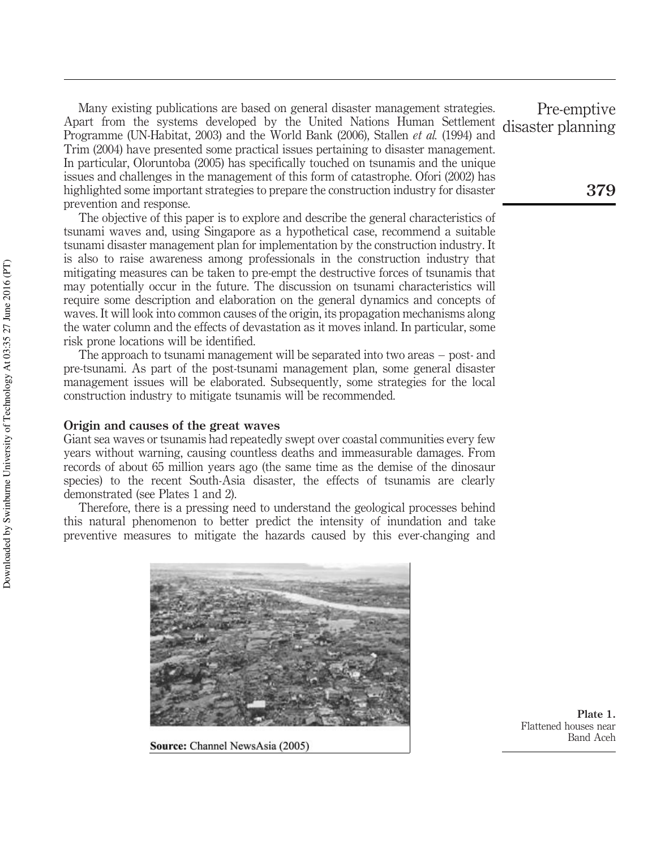Many existing publications are based on general disaster management strategies. Apart from the systems developed by the United Nations Human Settlement Programme (UN-Habitat, 2003) and the World Bank (2006), Stallen *et al.* (1994) and Trim (2004) have presented some practical issues pertaining to disaster management. In particular, Oloruntoba (2005) has specifically touched on tsunamis and the unique issues and challenges in the management of this form of catastrophe. Ofori (2002) has highlighted some important strategies to prepare the construction industry for disaster prevention and response.

The objective of this paper is to explore and describe the general characteristics of tsunami waves and, using Singapore as a hypothetical case, recommend a suitable tsunami disaster management plan for implementation by the construction industry. It is also to raise awareness among professionals in the construction industry that mitigating measures can be taken to pre-empt the destructive forces of tsunamis that may potentially occur in the future. The discussion on tsunami characteristics will require some description and elaboration on the general dynamics and concepts of waves. It will look into common causes of the origin, its propagation mechanisms along the water column and the effects of devastation as it moves inland. In particular, some risk prone locations will be identified.

The approach to tsunami management will be separated into two areas – post- and pre-tsunami. As part of the post-tsunami management plan, some general disaster management issues will be elaborated. Subsequently, some strategies for the local construction industry to mitigate tsunamis will be recommended.

## Origin and causes of the great waves

Giant sea waves or tsunamis had repeatedly swept over coastal communities every few years without warning, causing countless deaths and immeasurable damages. From records of about 65 million years ago (the same time as the demise of the dinosaur species) to the recent South-Asia disaster, the effects of tsunamis are clearly demonstrated (see Plates 1 and 2).

Therefore, there is a pressing need to understand the geological processes behind this natural phenomenon to better predict the intensity of inundation and take preventive measures to mitigate the hazards caused by this ever-changing and



Source: Channel NewsAsia (2005)

Plate 1. Flattened houses near Band Aceh

379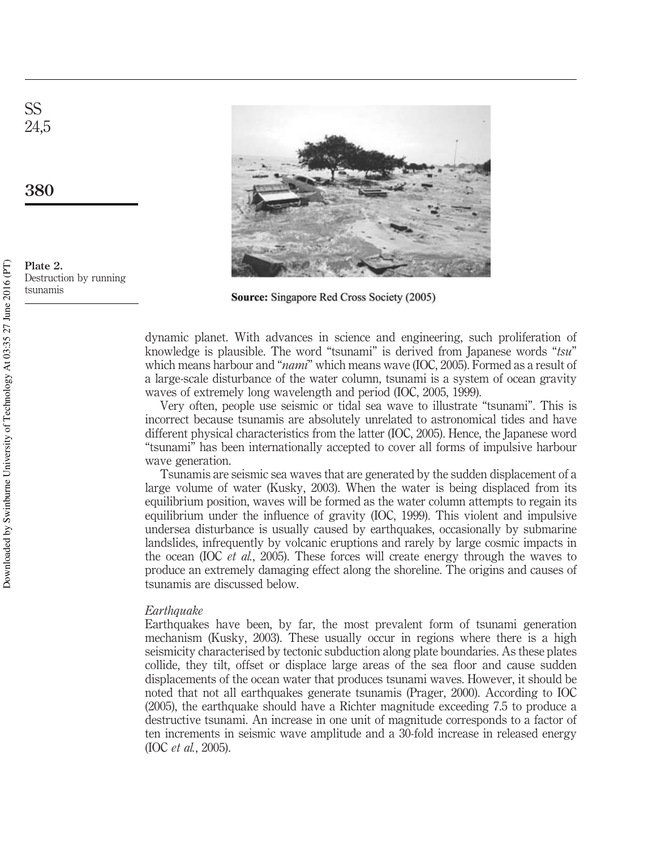

**Source:** Singapore Red Cross Society (2005)

dynamic planet. With advances in science and engineering, such proliferation of knowledge is plausible. The word "tsunami" is derived from Japanese words "*tsu*" which means harbour and "*nami*" which means wave (IOC, 2005). Formed as a result of a large-scale disturbance of the water column, tsunami is a system of ocean gravity waves of extremely long wavelength and period (IOC, 2005, 1999).

Very often, people use seismic or tidal sea wave to illustrate "tsunami". This is incorrect because tsunamis are absolutely unrelated to astronomical tides and have different physical characteristics from the latter (IOC, 2005). Hence, the Japanese word "tsunami" has been internationally accepted to cover all forms of impulsive harbour wave generation.

Tsunamis are seismic sea waves that are generated by the sudden displacement of a large volume of water (Kusky, 2003). When the water is being displaced from its equilibrium position, waves will be formed as the water column attempts to regain its equilibrium under the influence of gravity (IOC, 1999). This violent and impulsive undersea disturbance is usually caused by earthquakes, occasionally by submarine landslides, infrequently by volcanic eruptions and rarely by large cosmic impacts in the ocean (IOC *et al.*, 2005). These forces will create energy through the waves to produce an extremely damaging effect along the shoreline. The origins and causes of tsunamis are discussed below.

#### *Earthquake*

Earthquakes have been, by far, the most prevalent form of tsunami generation mechanism (Kusky, 2003). These usually occur in regions where there is a high seismicity characterised by tectonic subduction along plate boundaries. As these plates collide, they tilt, offset or displace large areas of the sea floor and cause sudden displacements of the ocean water that produces tsunami waves. However, it should be noted that not all earthquakes generate tsunamis (Prager, 2000). According to IOC (2005), the earthquake should have a Richter magnitude exceeding 7.5 to produce a destructive tsunami. An increase in one unit of magnitude corresponds to a factor of ten increments in seismic wave amplitude and a 30-fold increase in released energy (IOC *et al.*, 2005).

380

Plate 2. Destruction by running tsunamis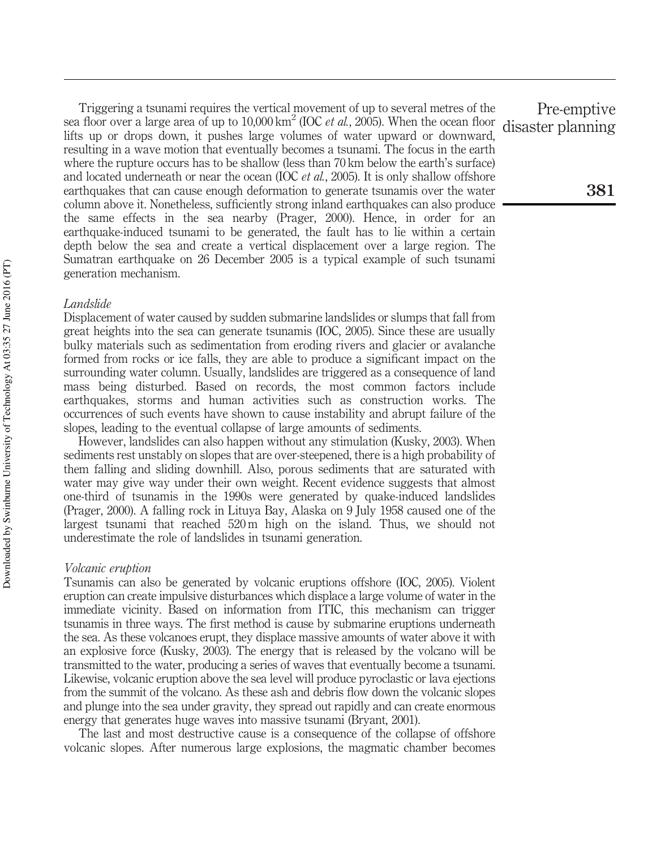Triggering a tsunami requires the vertical movement of up to several metres of the sea floor over a large area of up to 10,000 km<sup>2</sup> (IOC *et al.*, 2005). When the ocean floor lifts up or drops down, it pushes large volumes of water upward or downward, resulting in a wave motion that eventually becomes a tsunami. The focus in the earth where the rupture occurs has to be shallow (less than 70 km below the earth's surface) and located underneath or near the ocean (IOC *et al.*, 2005). It is only shallow offshore earthquakes that can cause enough deformation to generate tsunamis over the water column above it. Nonetheless, sufficiently strong inland earthquakes can also produce the same effects in the sea nearby (Prager, 2000). Hence, in order for an earthquake-induced tsunami to be generated, the fault has to lie within a certain depth below the sea and create a vertical displacement over a large region. The Sumatran earthquake on 26 December 2005 is a typical example of such tsunami generation mechanism.

# *Landslide*

Displacement of water caused by sudden submarine landslides or slumps that fall from great heights into the sea can generate tsunamis (IOC, 2005). Since these are usually bulky materials such as sedimentation from eroding rivers and glacier or avalanche formed from rocks or ice falls, they are able to produce a significant impact on the surrounding water column. Usually, landslides are triggered as a consequence of land mass being disturbed. Based on records, the most common factors include earthquakes, storms and human activities such as construction works. The occurrences of such events have shown to cause instability and abrupt failure of the slopes, leading to the eventual collapse of large amounts of sediments.

However, landslides can also happen without any stimulation (Kusky, 2003). When sediments rest unstably on slopes that are over-steepened, there is a high probability of them falling and sliding downhill. Also, porous sediments that are saturated with water may give way under their own weight. Recent evidence suggests that almost one-third of tsunamis in the 1990s were generated by quake-induced landslides (Prager, 2000). A falling rock in Lituya Bay, Alaska on 9 July 1958 caused one of the largest tsunami that reached 520 m high on the island. Thus, we should not underestimate the role of landslides in tsunami generation.

## *Volcanic eruption*

Tsunamis can also be generated by volcanic eruptions offshore (IOC, 2005). Violent eruption can create impulsive disturbances which displace a large volume of water in the immediate vicinity. Based on information from ITIC, this mechanism can trigger tsunamis in three ways. The first method is cause by submarine eruptions underneath the sea. As these volcanoes erupt, they displace massive amounts of water above it with an explosive force (Kusky, 2003). The energy that is released by the volcano will be transmitted to the water, producing a series of waves that eventually become a tsunami. Likewise, volcanic eruption above the sea level will produce pyroclastic or lava ejections from the summit of the volcano. As these ash and debris flow down the volcanic slopes and plunge into the sea under gravity, they spread out rapidly and can create enormous energy that generates huge waves into massive tsunami (Bryant, 2001).

The last and most destructive cause is a consequence of the collapse of offshore volcanic slopes. After numerous large explosions, the magmatic chamber becomes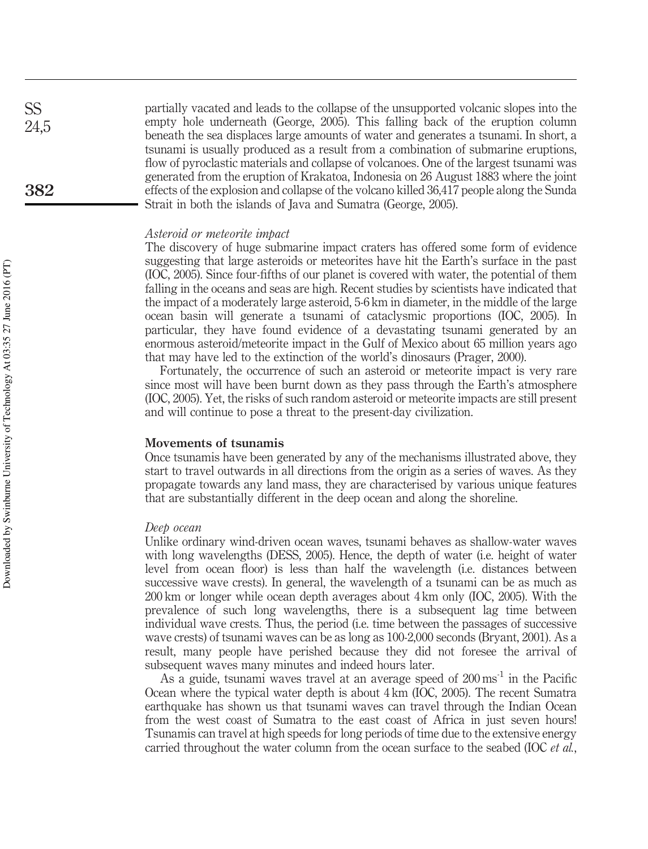partially vacated and leads to the collapse of the unsupported volcanic slopes into the empty hole underneath (George, 2005). This falling back of the eruption column beneath the sea displaces large amounts of water and generates a tsunami. In short, a tsunami is usually produced as a result from a combination of submarine eruptions, flow of pyroclastic materials and collapse of volcanoes. One of the largest tsunami was generated from the eruption of Krakatoa, Indonesia on 26 August 1883 where the joint effects of the explosion and collapse of the volcano killed 36,417 people along the Sunda Strait in both the islands of Java and Sumatra (George, 2005). SS 24,5 382

#### *Asteroid or meteorite impact*

The discovery of huge submarine impact craters has offered some form of evidence suggesting that large asteroids or meteorites have hit the Earth's surface in the past (IOC, 2005). Since four-fifths of our planet is covered with water, the potential of them falling in the oceans and seas are high. Recent studies by scientists have indicated that the impact of a moderately large asteroid, 5-6 km in diameter, in the middle of the large ocean basin will generate a tsunami of cataclysmic proportions (IOC, 2005). In particular, they have found evidence of a devastating tsunami generated by an enormous asteroid/meteorite impact in the Gulf of Mexico about 65 million years ago that may have led to the extinction of the world's dinosaurs (Prager, 2000).

Fortunately, the occurrence of such an asteroid or meteorite impact is very rare since most will have been burnt down as they pass through the Earth's atmosphere (IOC, 2005). Yet, the risks of such random asteroid or meteorite impacts are still present and will continue to pose a threat to the present-day civilization.

#### Movements of tsunamis

Once tsunamis have been generated by any of the mechanisms illustrated above, they start to travel outwards in all directions from the origin as a series of waves. As they propagate towards any land mass, they are characterised by various unique features that are substantially different in the deep ocean and along the shoreline.

#### *Deep ocean*

Unlike ordinary wind-driven ocean waves, tsunami behaves as shallow-water waves with long wavelengths (DESS, 2005). Hence, the depth of water (i.e. height of water level from ocean floor) is less than half the wavelength (i.e. distances between successive wave crests). In general, the wavelength of a tsunami can be as much as 200 km or longer while ocean depth averages about 4 km only (IOC, 2005). With the prevalence of such long wavelengths, there is a subsequent lag time between individual wave crests. Thus, the period (i.e. time between the passages of successive wave crests) of tsunami waves can be as long as 100-2,000 seconds (Bryant, 2001). As a result, many people have perished because they did not foresee the arrival of subsequent waves many minutes and indeed hours later.

As a guide, tsunami waves travel at an average speed of  $200 \,\mathrm{ms}^{-1}$  in the Pacific Ocean where the typical water depth is about 4 km (IOC, 2005). The recent Sumatra earthquake has shown us that tsunami waves can travel through the Indian Ocean from the west coast of Sumatra to the east coast of Africa in just seven hours! Tsunamis can travel at high speeds for long periods of time due to the extensive energy carried throughout the water column from the ocean surface to the seabed (IOC *et al.*,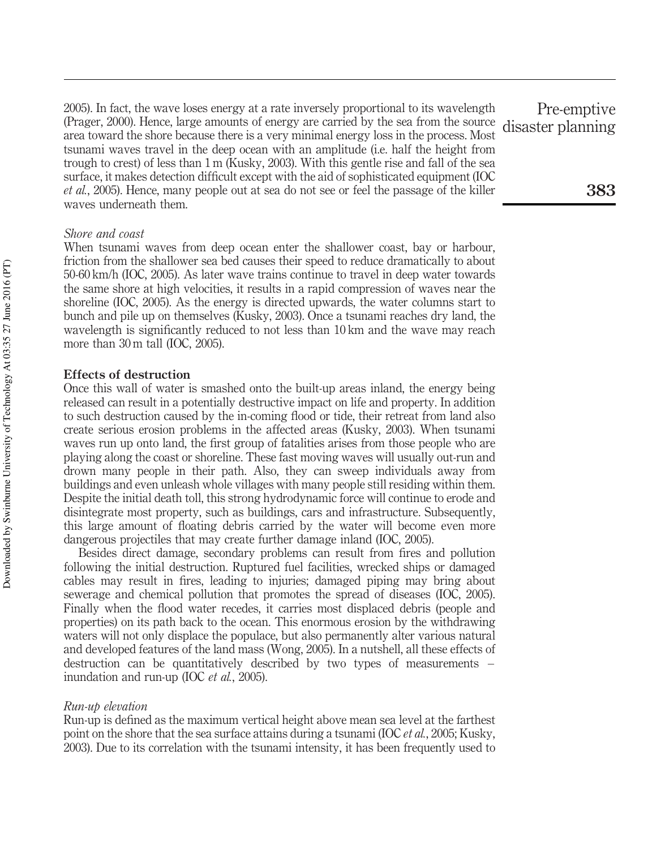2005). In fact, the wave loses energy at a rate inversely proportional to its wavelength (Prager, 2000). Hence, large amounts of energy are carried by the sea from the source area toward the shore because there is a very minimal energy loss in the process. Most tsunami waves travel in the deep ocean with an amplitude (i.e. half the height from trough to crest) of less than 1 m (Kusky, 2003). With this gentle rise and fall of the sea surface, it makes detection difficult except with the aid of sophisticated equipment (IOC *et al.*, 2005). Hence, many people out at sea do not see or feel the passage of the killer waves underneath them.

# *Shore and coast*

When tsunami waves from deep ocean enter the shallower coast, bay or harbour, friction from the shallower sea bed causes their speed to reduce dramatically to about 50-60 km/h (IOC, 2005). As later wave trains continue to travel in deep water towards the same shore at high velocities, it results in a rapid compression of waves near the shoreline (IOC, 2005). As the energy is directed upwards, the water columns start to bunch and pile up on themselves (Kusky, 2003). Once a tsunami reaches dry land, the wavelength is significantly reduced to not less than 10 km and the wave may reach more than 30 m tall (IOC, 2005).

## Effects of destruction

Once this wall of water is smashed onto the built-up areas inland, the energy being released can result in a potentially destructive impact on life and property. In addition to such destruction caused by the in-coming flood or tide, their retreat from land also create serious erosion problems in the affected areas (Kusky, 2003). When tsunami waves run up onto land, the first group of fatalities arises from those people who are playing along the coast or shoreline. These fast moving waves will usually out-run and drown many people in their path. Also, they can sweep individuals away from buildings and even unleash whole villages with many people still residing within them. Despite the initial death toll, this strong hydrodynamic force will continue to erode and disintegrate most property, such as buildings, cars and infrastructure. Subsequently, this large amount of floating debris carried by the water will become even more dangerous projectiles that may create further damage inland (IOC, 2005).

Besides direct damage, secondary problems can result from fires and pollution following the initial destruction. Ruptured fuel facilities, wrecked ships or damaged cables may result in fires, leading to injuries; damaged piping may bring about sewerage and chemical pollution that promotes the spread of diseases (IOC, 2005). Finally when the flood water recedes, it carries most displaced debris (people and properties) on its path back to the ocean. This enormous erosion by the withdrawing waters will not only displace the populace, but also permanently alter various natural and developed features of the land mass (Wong, 2005). In a nutshell, all these effects of destruction can be quantitatively described by two types of measurements – inundation and run-up (IOC *et al.*, 2005).

#### *Run-up elevation*

Run-up is defined as the maximum vertical height above mean sea level at the farthest point on the shore that the sea surface attains during a tsunami (IOC *et al.*, 2005; Kusky, 2003). Due to its correlation with the tsunami intensity, it has been frequently used to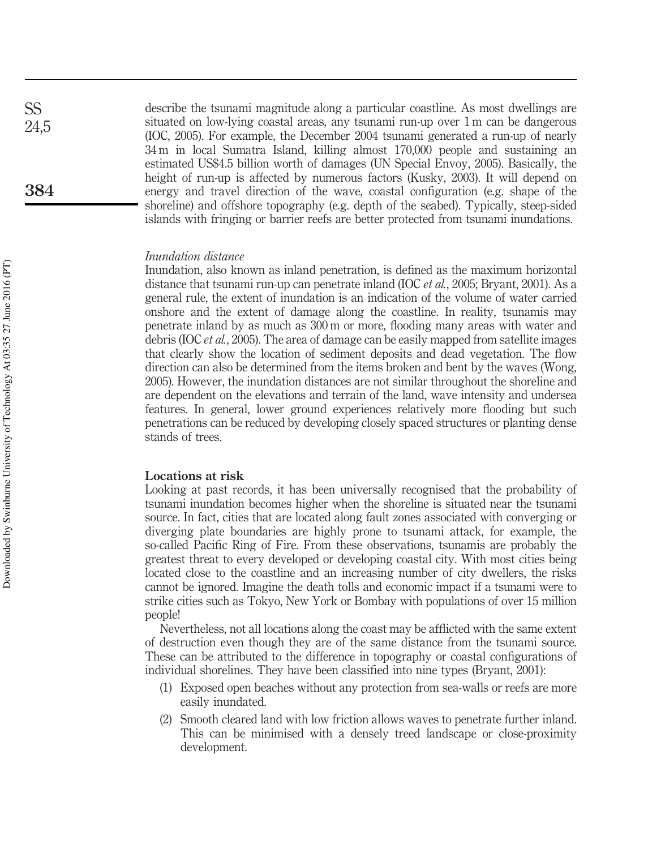describe the tsunami magnitude along a particular coastline. As most dwellings are situated on low-lying coastal areas, any tsunami run-up over 1 m can be dangerous (IOC, 2005). For example, the December 2004 tsunami generated a run-up of nearly 34 m in local Sumatra Island, killing almost 170,000 people and sustaining an estimated US\$4.5 billion worth of damages (UN Special Envoy, 2005). Basically, the height of run-up is affected by numerous factors (Kusky, 2003). It will depend on energy and travel direction of the wave, coastal configuration (e.g. shape of the shoreline) and offshore topography (e.g. depth of the seabed). Typically, steep-sided islands with fringing or barrier reefs are better protected from tsunami inundations.

#### *Inundation distance*

Inundation, also known as inland penetration, is defined as the maximum horizontal distance that tsunami run-up can penetrate inland (IOC *et al.*, 2005; Bryant, 2001). As a general rule, the extent of inundation is an indication of the volume of water carried onshore and the extent of damage along the coastline. In reality, tsunamis may penetrate inland by as much as 300 m or more, flooding many areas with water and debris (IOC *et al.*, 2005). The area of damage can be easily mapped from satellite images that clearly show the location of sediment deposits and dead vegetation. The flow direction can also be determined from the items broken and bent by the waves (Wong, 2005). However, the inundation distances are not similar throughout the shoreline and are dependent on the elevations and terrain of the land, wave intensity and undersea features. In general, lower ground experiences relatively more flooding but such penetrations can be reduced by developing closely spaced structures or planting dense stands of trees.

## Locations at risk

Looking at past records, it has been universally recognised that the probability of tsunami inundation becomes higher when the shoreline is situated near the tsunami source. In fact, cities that are located along fault zones associated with converging or diverging plate boundaries are highly prone to tsunami attack, for example, the so-called Pacific Ring of Fire. From these observations, tsunamis are probably the greatest threat to every developed or developing coastal city. With most cities being located close to the coastline and an increasing number of city dwellers, the risks cannot be ignored. Imagine the death tolls and economic impact if a tsunami were to strike cities such as Tokyo, New York or Bombay with populations of over 15 million people!

Nevertheless, not all locations along the coast may be afflicted with the same extent of destruction even though they are of the same distance from the tsunami source. These can be attributed to the difference in topography or coastal configurations of individual shorelines. They have been classified into nine types (Bryant, 2001):

- (1) Exposed open beaches without any protection from sea-walls or reefs are more easily inundated.
- (2) Smooth cleared land with low friction allows waves to penetrate further inland. This can be minimised with a densely treed landscape or close-proximity development.

SS 24,5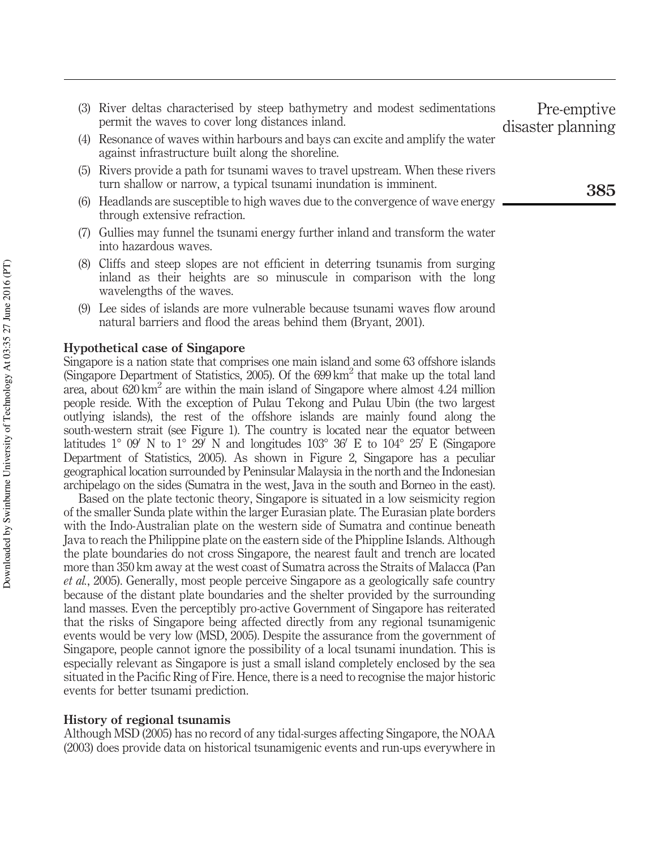- (3) River deltas characterised by steep bathymetry and modest sedimentations permit the waves to cover long distances inland.
- (4) Resonance of waves within harbours and bays can excite and amplify the water against infrastructure built along the shoreline.
- (5) Rivers provide a path for tsunami waves to travel upstream. When these rivers turn shallow or narrow, a typical tsunami inundation is imminent.
- (6) Headlands are susceptible to high waves due to the convergence of wave energy through extensive refraction.
- (7) Gullies may funnel the tsunami energy further inland and transform the water into hazardous waves.
- (8) Cliffs and steep slopes are not efficient in deterring tsunamis from surging inland as their heights are so minuscule in comparison with the long wavelengths of the waves.
- (9) Lee sides of islands are more vulnerable because tsunami waves flow around natural barriers and flood the areas behind them (Bryant, 2001).

#### Hypothetical case of Singapore

Singapore is a nation state that comprises one main island and some 63 offshore islands (Singapore Department of Statistics, 2005). Of the  $699 \,\mathrm{km}^2$  that make up the total land area, about  $620 \text{ km}^2$  are within the main island of Singapore where almost 4.24 million people reside. With the exception of Pulau Tekong and Pulau Ubin (the two largest outlying islands), the rest of the offshore islands are mainly found along the south-western strait (see Figure 1). The country is located near the equator between latitudes 1° 09' N to 1° 29' N and longitudes 103° 36' E to 104° 25' E (Singapore Department of Statistics, 2005). As shown in Figure 2, Singapore has a peculiar geographical location surrounded by Peninsular Malaysia in the north and the Indonesian archipelago on the sides (Sumatra in the west, Java in the south and Borneo in the east).

Based on the plate tectonic theory, Singapore is situated in a low seismicity region of the smaller Sunda plate within the larger Eurasian plate. The Eurasian plate borders with the Indo-Australian plate on the western side of Sumatra and continue beneath Java to reach the Philippine plate on the eastern side of the Phippline Islands. Although the plate boundaries do not cross Singapore, the nearest fault and trench are located more than 350 km away at the west coast of Sumatra across the Straits of Malacca (Pan *et al.*, 2005). Generally, most people perceive Singapore as a geologically safe country because of the distant plate boundaries and the shelter provided by the surrounding land masses. Even the perceptibly pro-active Government of Singapore has reiterated that the risks of Singapore being affected directly from any regional tsunamigenic events would be very low (MSD, 2005). Despite the assurance from the government of Singapore, people cannot ignore the possibility of a local tsunami inundation. This is especially relevant as Singapore is just a small island completely enclosed by the sea situated in the Pacific Ring of Fire. Hence, there is a need to recognise the major historic events for better tsunami prediction.

#### History of regional tsunamis

Although MSD (2005) has no record of any tidal-surges affecting Singapore, the NOAA (2003) does provide data on historical tsunamigenic events and run-ups everywhere in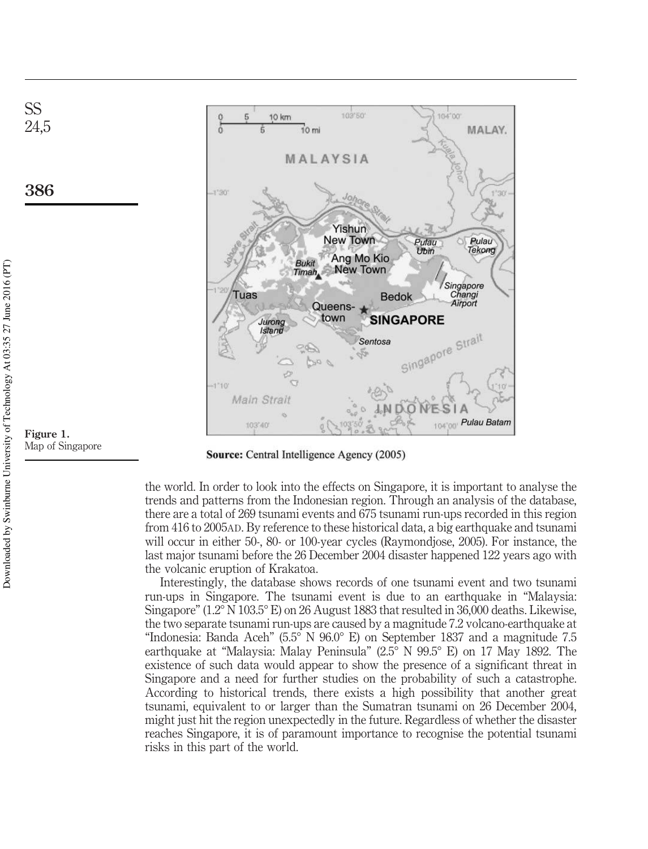

Map of Singapore

**Source:** Central Intelligence Agency (2005)

the world. In order to look into the effects on Singapore, it is important to analyse the trends and patterns from the Indonesian region. Through an analysis of the database, there are a total of 269 tsunami events and 675 tsunami run-ups recorded in this region from 416 to 2005AD. By reference to these historical data, a big earthquake and tsunami will occur in either 50-, 80- or 100-year cycles (Raymondjose, 2005). For instance, the last major tsunami before the 26 December 2004 disaster happened 122 years ago with the volcanic eruption of Krakatoa.

Interestingly, the database shows records of one tsunami event and two tsunami run-ups in Singapore. The tsunami event is due to an earthquake in "Malaysia: Singapore"  $(1.2°\ N\ 103.5°\ E)$  on 26 August 1883 that resulted in 36,000 deaths. Likewise, the two separate tsunami run-ups are caused by a magnitude 7.2 volcano-earthquake at "Indonesia: Banda Aceh" (5.5° N 96.0° E) on September 1837 and a magnitude 7.5 earthquake at "Malaysia: Malay Peninsula"  $(2.5^{\circ} \text{ N } 99.5^{\circ} \text{ E})$  on 17 May 1892. The existence of such data would appear to show the presence of a significant threat in Singapore and a need for further studies on the probability of such a catastrophe. According to historical trends, there exists a high possibility that another great tsunami, equivalent to or larger than the Sumatran tsunami on 26 December 2004, might just hit the region unexpectedly in the future. Regardless of whether the disaster reaches Singapore, it is of paramount importance to recognise the potential tsunami risks in this part of the world.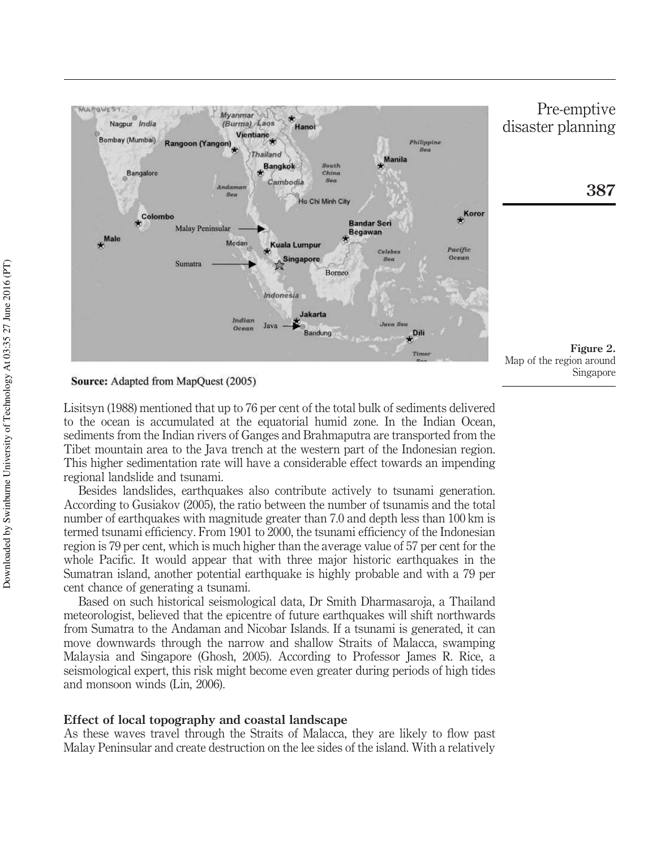

Pre-emptive disaster planning

387

Figure 2. Map of the region around Singapore

# Source: Adapted from MapQuest (2005)

Lisitsyn (1988) mentioned that up to 76 per cent of the total bulk of sediments delivered to the ocean is accumulated at the equatorial humid zone. In the Indian Ocean, sediments from the Indian rivers of Ganges and Brahmaputra are transported from the Tibet mountain area to the Java trench at the western part of the Indonesian region. This higher sedimentation rate will have a considerable effect towards an impending regional landslide and tsunami.

Besides landslides, earthquakes also contribute actively to tsunami generation. According to Gusiakov (2005), the ratio between the number of tsunamis and the total number of earthquakes with magnitude greater than 7.0 and depth less than 100 km is termed tsunami efficiency. From 1901 to 2000, the tsunami efficiency of the Indonesian region is 79 per cent, which is much higher than the average value of 57 per cent for the whole Pacific. It would appear that with three major historic earthquakes in the Sumatran island, another potential earthquake is highly probable and with a 79 per cent chance of generating a tsunami.

Based on such historical seismological data, Dr Smith Dharmasaroja, a Thailand meteorologist, believed that the epicentre of future earthquakes will shift northwards from Sumatra to the Andaman and Nicobar Islands. If a tsunami is generated, it can move downwards through the narrow and shallow Straits of Malacca, swamping Malaysia and Singapore (Ghosh, 2005). According to Professor James R. Rice, a seismological expert, this risk might become even greater during periods of high tides and monsoon winds (Lin, 2006).

## Effect of local topography and coastal landscape

As these waves travel through the Straits of Malacca, they are likely to flow past Malay Peninsular and create destruction on the lee sides of the island. With a relatively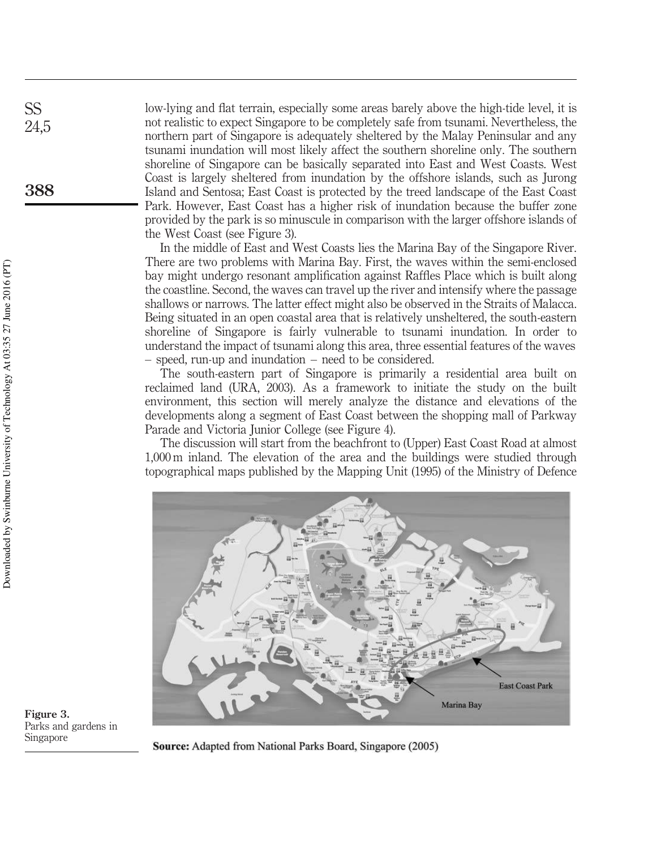low-lying and flat terrain, especially some areas barely above the high-tide level, it is not realistic to expect Singapore to be completely safe from tsunami. Nevertheless, the northern part of Singapore is adequately sheltered by the Malay Peninsular and any tsunami inundation will most likely affect the southern shoreline only. The southern shoreline of Singapore can be basically separated into East and West Coasts. West Coast is largely sheltered from inundation by the offshore islands, such as Jurong Island and Sentosa; East Coast is protected by the treed landscape of the East Coast Park. However, East Coast has a higher risk of inundation because the buffer zone provided by the park is so minuscule in comparison with the larger offshore islands of the West Coast (see Figure 3).

In the middle of East and West Coasts lies the Marina Bay of the Singapore River. There are two problems with Marina Bay. First, the waves within the semi-enclosed bay might undergo resonant amplification against Raffles Place which is built along the coastline. Second, the waves can travel up the river and intensify where the passage shallows or narrows. The latter effect might also be observed in the Straits of Malacca. Being situated in an open coastal area that is relatively unsheltered, the south-eastern shoreline of Singapore is fairly vulnerable to tsunami inundation. In order to understand the impact of tsunami along this area, three essential features of the waves – speed, run-up and inundation – need to be considered.

The south-eastern part of Singapore is primarily a residential area built on reclaimed land (URA, 2003). As a framework to initiate the study on the built environment, this section will merely analyze the distance and elevations of the developments along a segment of East Coast between the shopping mall of Parkway Parade and Victoria Junior College (see Figure 4).

The discussion will start from the beachfront to (Upper) East Coast Road at almost 1,000 m inland. The elevation of the area and the buildings were studied through topographical maps published by the Mapping Unit (1995) of the Ministry of Defence



Figure 3. Parks and gardens in Singapore

Source: Adapted from National Parks Board, Singapore (2005)

SS 24,5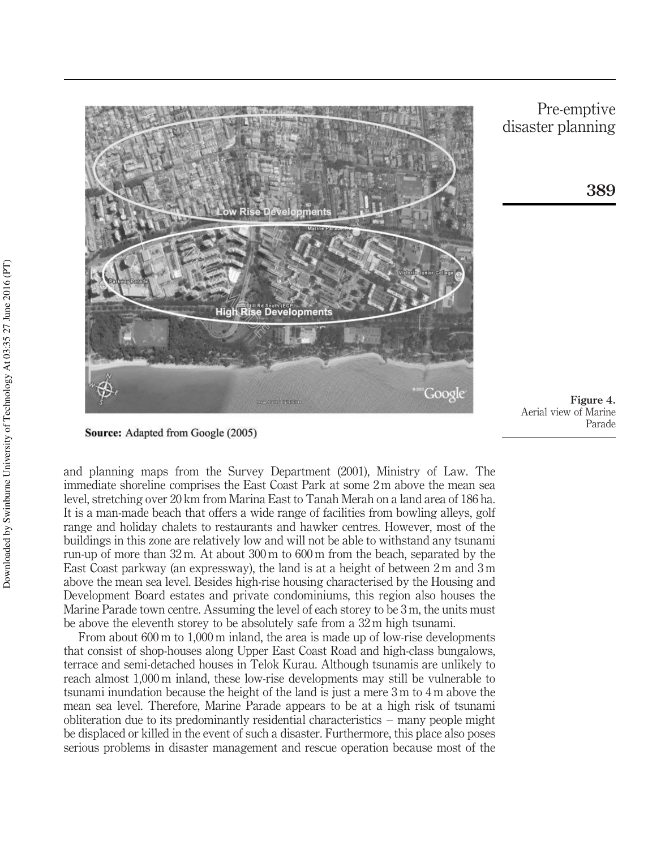

Pre-emptive disaster planning

389

Figure 4. Aerial view of Marine Parade

Source: Adapted from Google (2005)

and planning maps from the Survey Department (2001), Ministry of Law. The immediate shoreline comprises the East Coast Park at some 2 m above the mean sea level, stretching over 20 km from Marina East to Tanah Merah on a land area of 186 ha. It is a man-made beach that offers a wide range of facilities from bowling alleys, golf range and holiday chalets to restaurants and hawker centres. However, most of the buildings in this zone are relatively low and will not be able to withstand any tsunami run-up of more than 32 m. At about 300 m to 600 m from the beach, separated by the East Coast parkway (an expressway), the land is at a height of between 2 m and 3 m above the mean sea level. Besides high-rise housing characterised by the Housing and Development Board estates and private condominiums, this region also houses the Marine Parade town centre. Assuming the level of each storey to be 3 m, the units must be above the eleventh storey to be absolutely safe from a 32 m high tsunami.

From about 600 m to 1,000 m inland, the area is made up of low-rise developments that consist of shop-houses along Upper East Coast Road and high-class bungalows, terrace and semi-detached houses in Telok Kurau. Although tsunamis are unlikely to reach almost 1,000 m inland, these low-rise developments may still be vulnerable to tsunami inundation because the height of the land is just a mere 3 m to 4 m above the mean sea level. Therefore, Marine Parade appears to be at a high risk of tsunami obliteration due to its predominantly residential characteristics – many people might be displaced or killed in the event of such a disaster. Furthermore, this place also poses serious problems in disaster management and rescue operation because most of the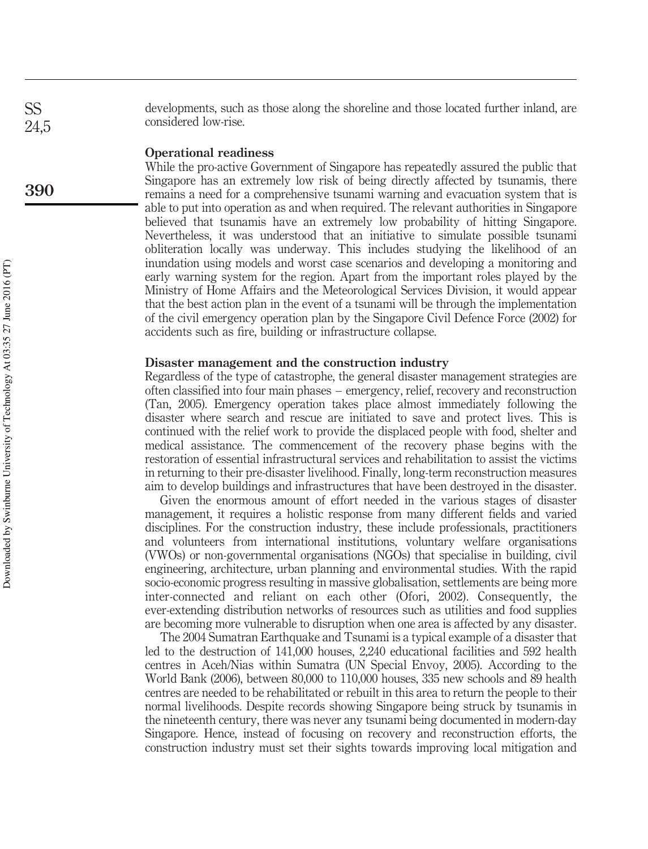developments, such as those along the shoreline and those located further inland, are considered low-rise.

#### Operational readiness

While the pro-active Government of Singapore has repeatedly assured the public that Singapore has an extremely low risk of being directly affected by tsunamis, there remains a need for a comprehensive tsunami warning and evacuation system that is able to put into operation as and when required. The relevant authorities in Singapore believed that tsunamis have an extremely low probability of hitting Singapore. Nevertheless, it was understood that an initiative to simulate possible tsunami obliteration locally was underway. This includes studying the likelihood of an inundation using models and worst case scenarios and developing a monitoring and early warning system for the region. Apart from the important roles played by the Ministry of Home Affairs and the Meteorological Services Division, it would appear that the best action plan in the event of a tsunami will be through the implementation of the civil emergency operation plan by the Singapore Civil Defence Force (2002) for accidents such as fire, building or infrastructure collapse.

#### Disaster management and the construction industry

Regardless of the type of catastrophe, the general disaster management strategies are often classified into four main phases – emergency, relief, recovery and reconstruction (Tan, 2005). Emergency operation takes place almost immediately following the disaster where search and rescue are initiated to save and protect lives. This is continued with the relief work to provide the displaced people with food, shelter and medical assistance. The commencement of the recovery phase begins with the restoration of essential infrastructural services and rehabilitation to assist the victims in returning to their pre-disaster livelihood. Finally, long-term reconstruction measures aim to develop buildings and infrastructures that have been destroyed in the disaster.

Given the enormous amount of effort needed in the various stages of disaster management, it requires a holistic response from many different fields and varied disciplines. For the construction industry, these include professionals, practitioners and volunteers from international institutions, voluntary welfare organisations (VWOs) or non-governmental organisations (NGOs) that specialise in building, civil engineering, architecture, urban planning and environmental studies. With the rapid socio-economic progress resulting in massive globalisation, settlements are being more inter-connected and reliant on each other (Ofori, 2002). Consequently, the ever-extending distribution networks of resources such as utilities and food supplies are becoming more vulnerable to disruption when one area is affected by any disaster.

The 2004 Sumatran Earthquake and Tsunami is a typical example of a disaster that led to the destruction of 141,000 houses, 2,240 educational facilities and 592 health centres in Aceh/Nias within Sumatra (UN Special Envoy, 2005). According to the World Bank (2006), between 80,000 to 110,000 houses, 335 new schools and 89 health centres are needed to be rehabilitated or rebuilt in this area to return the people to their normal livelihoods. Despite records showing Singapore being struck by tsunamis in the nineteenth century, there was never any tsunami being documented in modern-day Singapore. Hence, instead of focusing on recovery and reconstruction efforts, the construction industry must set their sights towards improving local mitigation and

SS 24,5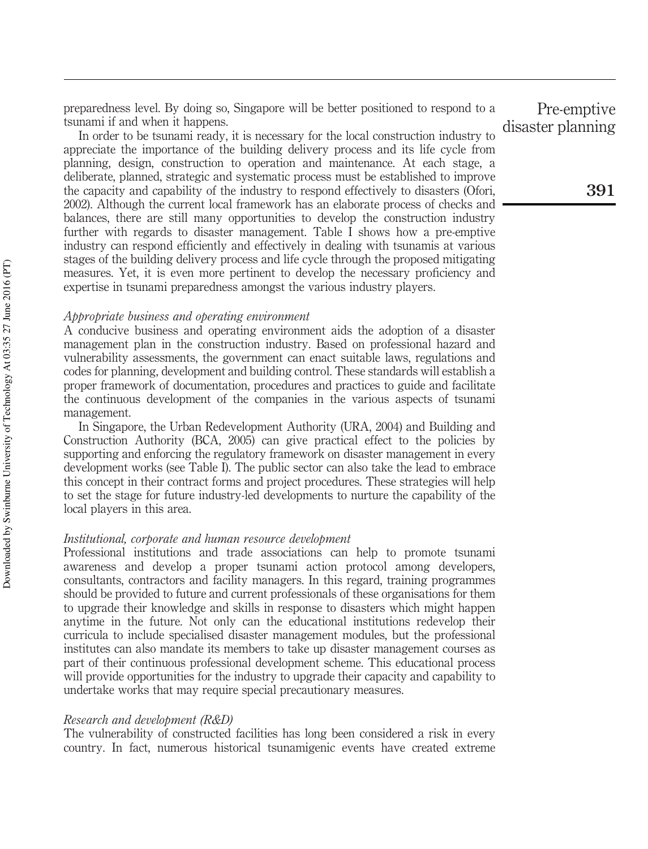preparedness level. By doing so, Singapore will be better positioned to respond to a tsunami if and when it happens.

In order to be tsunami ready, it is necessary for the local construction industry to appreciate the importance of the building delivery process and its life cycle from planning, design, construction to operation and maintenance. At each stage, a deliberate, planned, strategic and systematic process must be established to improve the capacity and capability of the industry to respond effectively to disasters (Ofori, 2002). Although the current local framework has an elaborate process of checks and balances, there are still many opportunities to develop the construction industry further with regards to disaster management. Table I shows how a pre-emptive industry can respond efficiently and effectively in dealing with tsunamis at various stages of the building delivery process and life cycle through the proposed mitigating measures. Yet, it is even more pertinent to develop the necessary proficiency and expertise in tsunami preparedness amongst the various industry players.

#### *Appropriate business and operating environment*

A conducive business and operating environment aids the adoption of a disaster management plan in the construction industry. Based on professional hazard and vulnerability assessments, the government can enact suitable laws, regulations and codes for planning, development and building control. These standards will establish a proper framework of documentation, procedures and practices to guide and facilitate the continuous development of the companies in the various aspects of tsunami management.

In Singapore, the Urban Redevelopment Authority (URA, 2004) and Building and Construction Authority (BCA, 2005) can give practical effect to the policies by supporting and enforcing the regulatory framework on disaster management in every development works (see Table I). The public sector can also take the lead to embrace this concept in their contract forms and project procedures. These strategies will help to set the stage for future industry-led developments to nurture the capability of the local players in this area.

#### *Institutional, corporate and human resource development*

Professional institutions and trade associations can help to promote tsunami awareness and develop a proper tsunami action protocol among developers, consultants, contractors and facility managers. In this regard, training programmes should be provided to future and current professionals of these organisations for them to upgrade their knowledge and skills in response to disasters which might happen anytime in the future. Not only can the educational institutions redevelop their curricula to include specialised disaster management modules, but the professional institutes can also mandate its members to take up disaster management courses as part of their continuous professional development scheme. This educational process will provide opportunities for the industry to upgrade their capacity and capability to undertake works that may require special precautionary measures.

#### *Research and development (R&D)*

The vulnerability of constructed facilities has long been considered a risk in every country. In fact, numerous historical tsunamigenic events have created extreme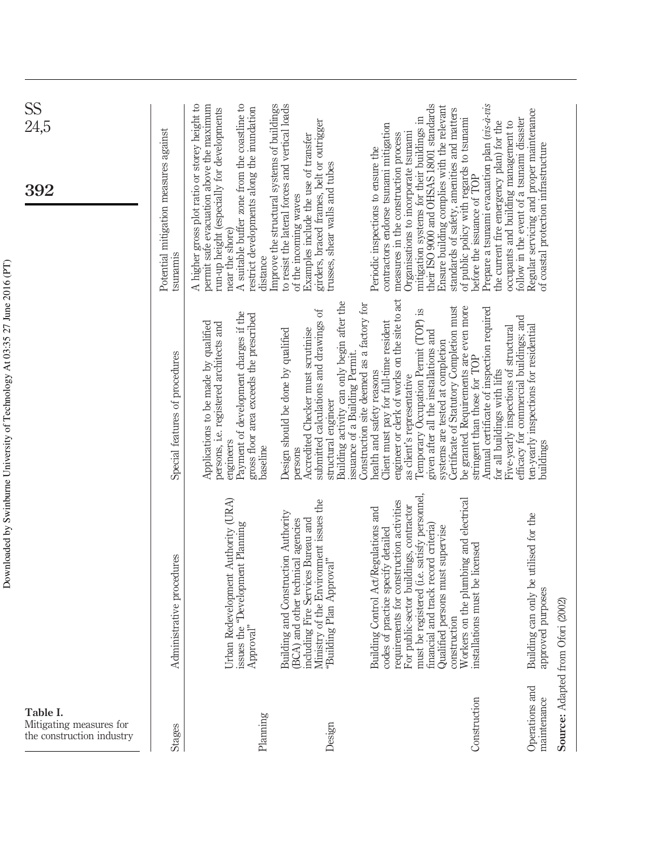| Table I.<br>Mitigating measures for<br>the construction industry |                                                                                                                                                                                                                                                                                       |                                                                                                                                                                                                                                                                                                                                                                  | SS<br>24,5<br>392                                                                                                                                                                                                                                                                                                                                 |
|------------------------------------------------------------------|---------------------------------------------------------------------------------------------------------------------------------------------------------------------------------------------------------------------------------------------------------------------------------------|------------------------------------------------------------------------------------------------------------------------------------------------------------------------------------------------------------------------------------------------------------------------------------------------------------------------------------------------------------------|---------------------------------------------------------------------------------------------------------------------------------------------------------------------------------------------------------------------------------------------------------------------------------------------------------------------------------------------------|
| Stages                                                           | Administrative procedures                                                                                                                                                                                                                                                             | Special features of procedures                                                                                                                                                                                                                                                                                                                                   | Potential mitigation measures against<br>tsunamis                                                                                                                                                                                                                                                                                                 |
| Planning                                                         | Urban Redevelopment Authority (URA)<br>issues the "Development Planning<br>Approval"                                                                                                                                                                                                  | Payment of development charges if the<br>gross floor area exceeds the prescribed<br>Applications to be made by qualified<br>persons, i.e. registered architects and<br>engineers<br>baseline                                                                                                                                                                     | A higher gross plot ratio or storey height to<br>A suitable buffer zone from the coastline to<br>permit safe evacuation above the maximum<br>run-up height (especially for developments<br>restrict developments along the inundation<br>near the shore)<br>distance                                                                              |
| Design                                                           | Building and Construction Authority<br>(BCA) and other technical agencies<br>including Fire Services Bureau and<br>Ministry of the Environment issues the<br>"Building Plan Approval"                                                                                                 | Building activity can only begin after the<br>submitted calculations and drawings of<br>Accredited Checker must scrutinise<br>Design should be done by qualified<br>issuance of a Building Permit.<br>structural engineer<br>persons                                                                                                                             | to resist the lateral forces and vertical loads<br>Improve the structural systems of buildings<br>girders, braced frames, belt or outrigger<br>Examples include the use of transfer<br>trusses, shear walls and tubes<br>of the incoming waves                                                                                                    |
|                                                                  | codes of practice specify detailed<br>requirements for construction activities<br>For public-sector buildings, contractor<br>must be registered (i.e. satisfy personnel,<br>Qualified and track reord criteria)<br>Qualified persons must sup<br>Building Control Act/Regulations and | engineer or clerk of works on the site to act<br>Construction site deemed as a factory for<br>Certificate of Statutory Completion must<br>Temporary Occupation Permit (TOP) is<br>Client must pay for full-time resident<br>given after all the installations and<br>systems are tested at completion<br>health and safety reasons<br>as client's representative | their ISO 9000 and OHSAS 18001 standards<br>Ensure building complies with the relevant<br>standards of safety, amenities and matters<br>mitigation systems for their buildings in<br>contractors endorse tsunami mitigation<br>Organisations to incorporate tsunami<br>measures in the construction process<br>Periodic inspections to ensure the |
| Construction                                                     |                                                                                                                                                                                                                                                                                       | be granted. Requirements are even more<br>Annual certificate of inspection required<br>Five-yearly inspections of structural<br>stringent than those for TOP<br>for all buildings with lifts                                                                                                                                                                     | Prepare a tsunami evacuation plan (vis-à-vis<br>of public policy with regards to tsunami<br>the current fire emergency plan) for the<br>occupants and building management to<br>before the issuance of TOP                                                                                                                                        |
| Operations and<br>maintenance                                    | Building can only be utilised for the<br>approved purposes<br>Source: Adapted from Ofori (2002)                                                                                                                                                                                       | efficacy for commercial buildings; and<br>ten-yearly inspections for residential<br>buildings                                                                                                                                                                                                                                                                    | Regular servicing and proper maintenance<br>follow in the event of a tsunami disaster<br>of coastal protection infrastructure                                                                                                                                                                                                                     |

Downloaded by Swinburne University of Technology At 03:35 27 June 2016 (PT) Downloaded by Swinburne University of Technology At 03:35 27 June 2016 (PT)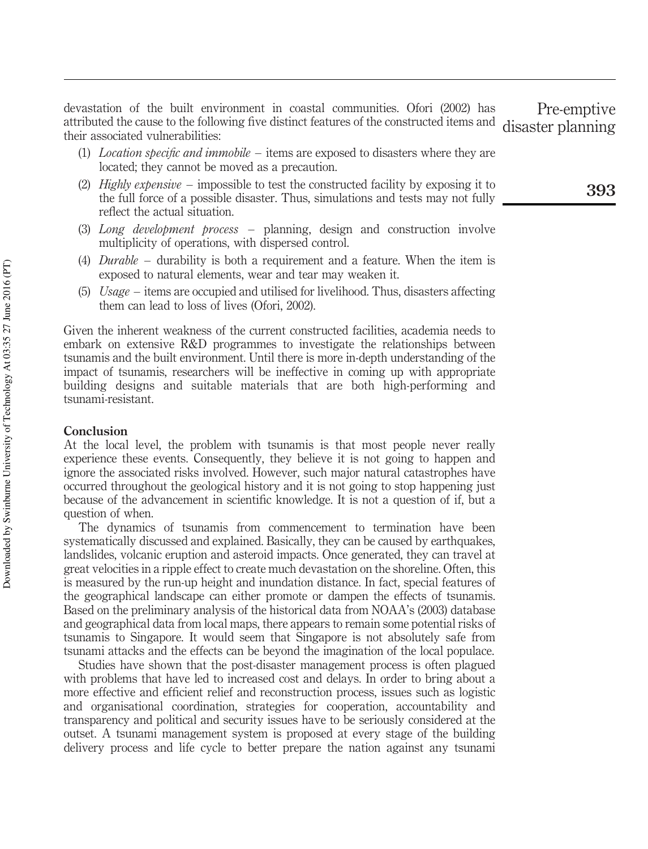devastation of the built environment in coastal communities. Ofori (2002) has attributed the cause to the following five distinct features of the constructed items and their associated vulnerabilities: Pre-emptive disaster planning

- (1) *Location specific and immobile* items are exposed to disasters where they are located; they cannot be moved as a precaution.
- (2) *Highly expensive* impossible to test the constructed facility by exposing it to the full force of a possible disaster. Thus, simulations and tests may not fully reflect the actual situation.
- (3) *Long development process* planning, design and construction involve multiplicity of operations, with dispersed control.
- (4) *Durable* durability is both a requirement and a feature. When the item is exposed to natural elements, wear and tear may weaken it.
- (5) *Usage* items are occupied and utilised for livelihood. Thus, disasters affecting them can lead to loss of lives (Ofori, 2002).

Given the inherent weakness of the current constructed facilities, academia needs to embark on extensive R&D programmes to investigate the relationships between tsunamis and the built environment. Until there is more in-depth understanding of the impact of tsunamis, researchers will be ineffective in coming up with appropriate building designs and suitable materials that are both high-performing and tsunami-resistant.

# Conclusion

At the local level, the problem with tsunamis is that most people never really experience these events. Consequently, they believe it is not going to happen and ignore the associated risks involved. However, such major natural catastrophes have occurred throughout the geological history and it is not going to stop happening just because of the advancement in scientific knowledge. It is not a question of if, but a question of when.

The dynamics of tsunamis from commencement to termination have been systematically discussed and explained. Basically, they can be caused by earthquakes, landslides, volcanic eruption and asteroid impacts. Once generated, they can travel at great velocities in a ripple effect to create much devastation on the shoreline. Often, this is measured by the run-up height and inundation distance. In fact, special features of the geographical landscape can either promote or dampen the effects of tsunamis. Based on the preliminary analysis of the historical data from NOAA's (2003) database and geographical data from local maps, there appears to remain some potential risks of tsunamis to Singapore. It would seem that Singapore is not absolutely safe from tsunami attacks and the effects can be beyond the imagination of the local populace.

Studies have shown that the post-disaster management process is often plagued with problems that have led to increased cost and delays. In order to bring about a more effective and efficient relief and reconstruction process, issues such as logistic and organisational coordination, strategies for cooperation, accountability and transparency and political and security issues have to be seriously considered at the outset. A tsunami management system is proposed at every stage of the building delivery process and life cycle to better prepare the nation against any tsunami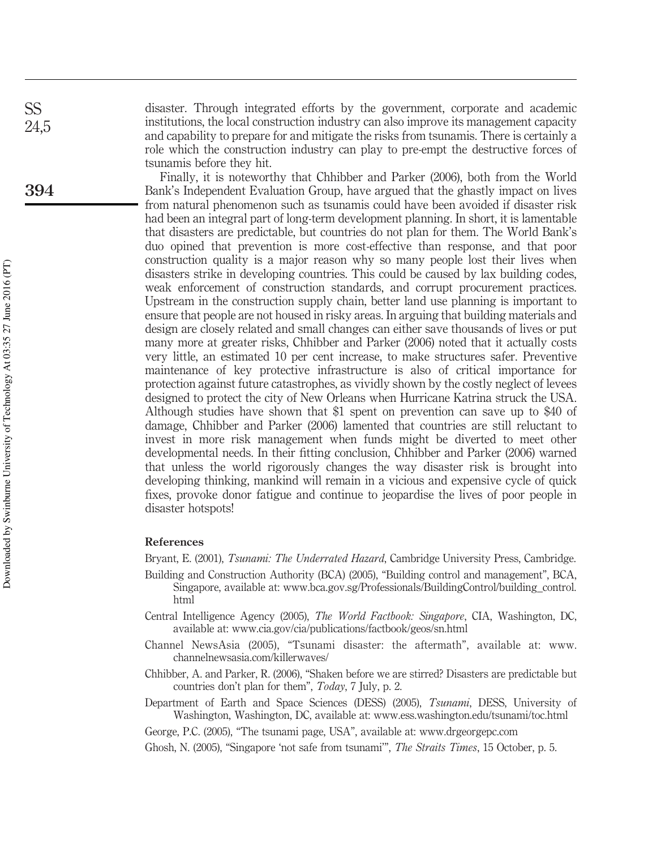disaster. Through integrated efforts by the government, corporate and academic institutions, the local construction industry can also improve its management capacity and capability to prepare for and mitigate the risks from tsunamis. There is certainly a role which the construction industry can play to pre-empt the destructive forces of tsunamis before they hit.

Finally, it is noteworthy that Chhibber and Parker (2006), both from the World Bank's Independent Evaluation Group, have argued that the ghastly impact on lives from natural phenomenon such as tsunamis could have been avoided if disaster risk had been an integral part of long-term development planning. In short, it is lamentable that disasters are predictable, but countries do not plan for them. The World Bank's duo opined that prevention is more cost-effective than response, and that poor construction quality is a major reason why so many people lost their lives when disasters strike in developing countries. This could be caused by lax building codes, weak enforcement of construction standards, and corrupt procurement practices. Upstream in the construction supply chain, better land use planning is important to ensure that people are not housed in risky areas. In arguing that building materials and design are closely related and small changes can either save thousands of lives or put many more at greater risks, Chhibber and Parker (2006) noted that it actually costs very little, an estimated 10 per cent increase, to make structures safer. Preventive maintenance of key protective infrastructure is also of critical importance for protection against future catastrophes, as vividly shown by the costly neglect of levees designed to protect the city of New Orleans when Hurricane Katrina struck the USA. Although studies have shown that \$1 spent on prevention can save up to \$40 of damage, Chhibber and Parker (2006) lamented that countries are still reluctant to invest in more risk management when funds might be diverted to meet other developmental needs. In their fitting conclusion, Chhibber and Parker (2006) warned that unless the world rigorously changes the way disaster risk is brought into developing thinking, mankind will remain in a vicious and expensive cycle of quick fixes, provoke donor fatigue and continue to jeopardise the lives of poor people in disaster hotspots!

#### References

Bryant, E. (2001), *Tsunami: The Underrated Hazard*, Cambridge University Press, Cambridge.

- Building and Construction Authority (BCA) (2005), "Building control and management", BCA, Singapore, available at: www.bca.gov.sg/Professionals/BuildingControl/building\_control. html
- Central Intelligence Agency (2005), *The World Factbook: Singapore*, CIA, Washington, DC, available at: www.cia.gov/cia/publications/factbook/geos/sn.html
- Channel NewsAsia (2005), "Tsunami disaster: the aftermath", available at: www. channelnewsasia.com/killerwaves/
- Chhibber, A. and Parker, R. (2006), "Shaken before we are stirred? Disasters are predictable but countries don't plan for them", *Today*, 7 July, p. 2.
- Department of Earth and Space Sciences (DESS) (2005), *Tsunami*, DESS, University of Washington, Washington, DC, available at: www.ess.washington.edu/tsunami/toc.html

George, P.C. (2005), "The tsunami page, USA", available at: www.drgeorgepc.com

Ghosh, N. (2005), "Singapore 'not safe from tsunami'", *The Straits Times*, 15 October, p. 5.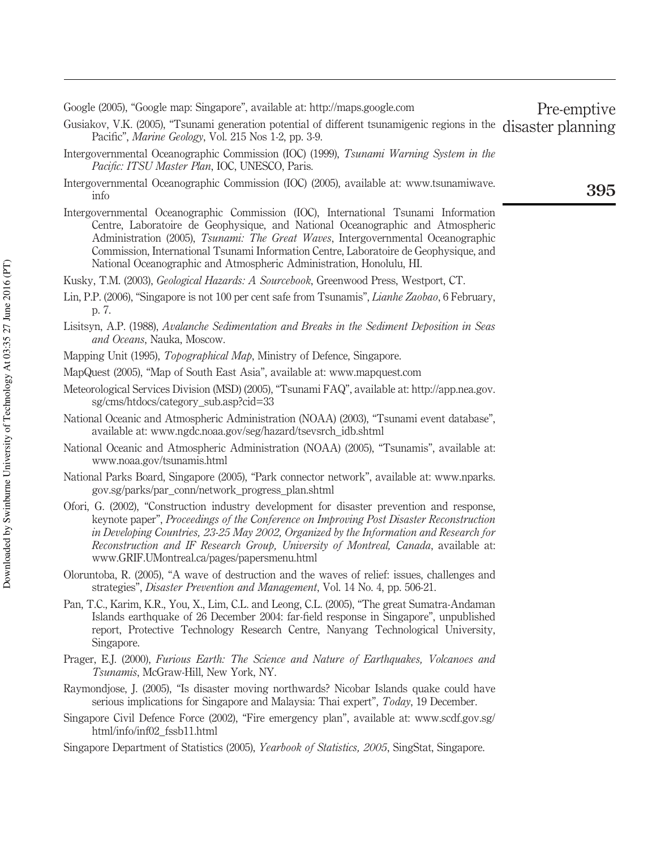Google (2005), "Google map: Singapore", available at: http://maps.google.com

- Gusiakov, V.K. (2005), "Tsunami generation potential of different tsunamigenic regions in the disaster planning Pacific", *Marine Geology*, Vol. 215 Nos 1-2, pp. 3-9.
- Intergovernmental Oceanographic Commission (IOC) (1999), *Tsunami Warning System in the Pacific: ITSU Master Plan*, IOC, UNESCO, Paris.
- Intergovernmental Oceanographic Commission (IOC) (2005), available at: www.tsunamiwave. info
- Intergovernmental Oceanographic Commission (IOC), International Tsunami Information Centre, Laboratoire de Geophysique, and National Oceanographic and Atmospheric Administration (2005), *Tsunami: The Great Waves*, Intergovernmental Oceanographic Commission, International Tsunami Information Centre, Laboratoire de Geophysique, and National Oceanographic and Atmospheric Administration, Honolulu, HI.
- Kusky, T.M. (2003), *Geological Hazards: A Sourcebook*, Greenwood Press, Westport, CT.
- Lin, P.P. (2006), "Singapore is not 100 per cent safe from Tsunamis", *Lianhe Zaobao*, 6 February, p. 7.
- Lisitsyn, A.P. (1988), *Avalanche Sedimentation and Breaks in the Sediment Deposition in Seas and Oceans*, Nauka, Moscow.
- Mapping Unit (1995), *Topographical Map*, Ministry of Defence, Singapore.
- MapQuest (2005), "Map of South East Asia", available at: www.mapquest.com
- Meteorological Services Division (MSD) (2005), "Tsunami FAQ", available at: http://app.nea.gov. sg/cms/htdocs/category\_sub.asp?cid=33
- National Oceanic and Atmospheric Administration (NOAA) (2003), "Tsunami event database", available at: www.ngdc.noaa.gov/seg/hazard/tsevsrch\_idb.shtml
- National Oceanic and Atmospheric Administration (NOAA) (2005), "Tsunamis", available at: www.noaa.gov/tsunamis.html
- National Parks Board, Singapore (2005), "Park connector network", available at: www.nparks. gov.sg/parks/par\_conn/network\_progress\_plan.shtml
- Ofori, G. (2002), "Construction industry development for disaster prevention and response, keynote paper", *Proceedings of the Conference on Improving Post Disaster Reconstruction in Developing Countries, 23-25 May 2002, Organized by the Information and Research for Reconstruction and IF Research Group, University of Montreal, Canada*, available at: www.GRIF.UMontreal.ca/pages/papersmenu.html
- Oloruntoba, R. (2005), "A wave of destruction and the waves of relief: issues, challenges and strategies", *Disaster Prevention and Management*, Vol. 14 No. 4, pp. 506-21.
- Pan, T.C., Karim, K.R., You, X., Lim, C.L. and Leong, C.L. (2005), "The great Sumatra-Andaman Islands earthquake of 26 December 2004: far-field response in Singapore", unpublished report, Protective Technology Research Centre, Nanyang Technological University, Singapore.
- Prager, E.J. (2000), *Furious Earth: The Science and Nature of Earthquakes, Volcanoes and Tsunamis*, McGraw-Hill, New York, NY.
- Raymondjose, J. (2005), "Is disaster moving northwards? Nicobar Islands quake could have serious implications for Singapore and Malaysia: Thai expert", *Today*, 19 December.
- Singapore Civil Defence Force (2002), "Fire emergency plan", available at: www.scdf.gov.sg/ html/info/inf02\_fssb11.html
- Singapore Department of Statistics (2005), *Yearbook of Statistics, 2005*, SingStat, Singapore.

395

Pre-emptive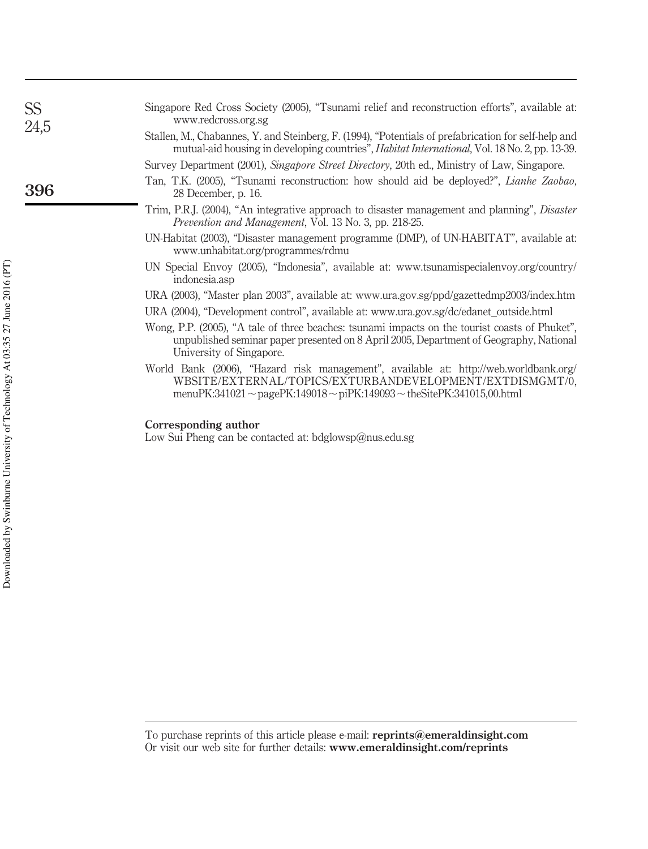| Singapore Red Cross Society (2005), "Tsunami relief and reconstruction efforts", available at: |  |  |  |  |
|------------------------------------------------------------------------------------------------|--|--|--|--|
| www.redcross.org.sg                                                                            |  |  |  |  |

Stallen, M., Chabannes, Y. and Steinberg, F. (1994), "Potentials of prefabrication for self-help and mutual-aid housing in developing countries", *Habitat International*, Vol. 18 No. 2, pp. 13-39.

Survey Department (2001), *Singapore Street Directory*, 20th ed., Ministry of Law, Singapore.

- Tan, T.K. (2005), "Tsunami reconstruction: how should aid be deployed?", *Lianhe Zaobao*, 28 December, p. 16.
- Trim, P.R.J. (2004), "An integrative approach to disaster management and planning", *Disaster Prevention and Management*, Vol. 13 No. 3, pp. 218-25.
- UN-Habitat (2003), "Disaster management programme (DMP), of UN-HABITAT", available at: www.unhabitat.org/programmes/rdmu
- UN Special Envoy (2005), "Indonesia", available at: www.tsunamispecialenvoy.org/country/ indonesia.asp
- URA (2003), "Master plan 2003", available at: www.ura.gov.sg/ppd/gazettedmp2003/index.htm
- URA (2004), "Development control", available at: www.ura.gov.sg/dc/edanet\_outside.html
- Wong, P.P. (2005), "A tale of three beaches: tsunami impacts on the tourist coasts of Phuket" unpublished seminar paper presented on 8 April 2005, Department of Geography, National University of Singapore.
- World Bank (2006), "Hazard risk management", available at: http://web.worldbank.org/ WBSITE/EXTERNAL/TOPICS/EXTURBANDEVELOPMENT/EXTDISMGMT/0, menuPK:341021 ~ pagePK:149018 ~ piPK:149093 ~ theSitePK:341015,00.html

#### Corresponding author

Low Sui Pheng can be contacted at: bdglowsp@nus.edu.sg

SS 24,5

To purchase reprints of this article please e-mail: reprints@emeraldinsight.com Or visit our web site for further details: www.emeraldinsight.com/reprints